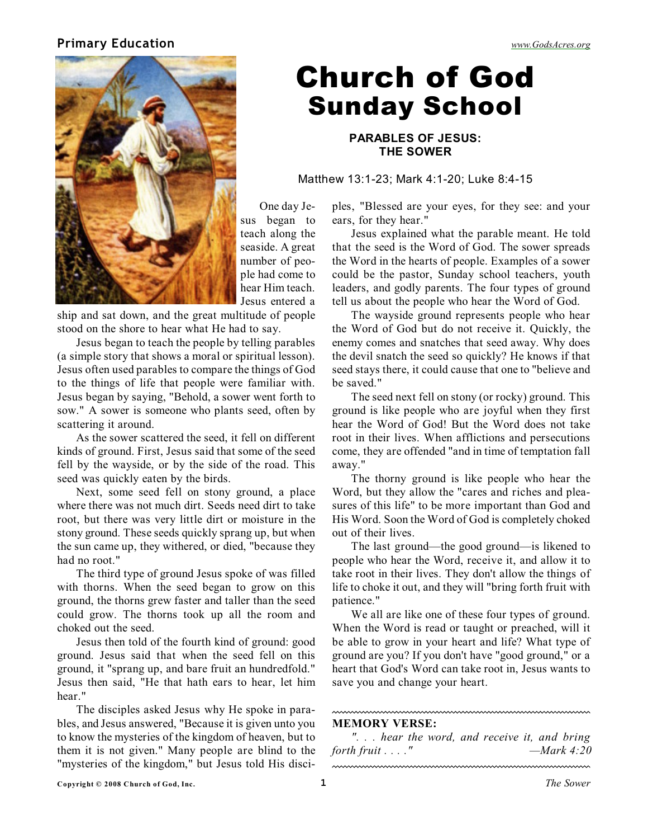## **Primary Education** *[www.GodsAcres.org](http://godsacres.org)*



## Church of God Sunday School

**PARABLES OF JESUS: THE SOWER**

Matthew 13:1-23; Mark 4:1-20; Luke 8:4-15

One day Jesus began to teach along the seaside. A great number of people had come to hear Him teach. Jesus entered a

ship and sat down, and the great multitude of people stood on the shore to hear what He had to say.

Jesus began to teach the people by telling parables (a simple story that shows a moral or spiritual lesson). Jesus often used parables to compare the things of God to the things of life that people were familiar with. Jesus began by saying, "Behold, a sower went forth to sow." A sower is someone who plants seed, often by scattering it around.

As the sower scattered the seed, it fell on different kinds of ground. First, Jesus said that some of the seed fell by the wayside, or by the side of the road. This seed was quickly eaten by the birds.

Next, some seed fell on stony ground, a place where there was not much dirt. Seeds need dirt to take root, but there was very little dirt or moisture in the stony ground. These seeds quickly sprang up, but when the sun came up, they withered, or died, "because they had no root."

The third type of ground Jesus spoke of was filled with thorns. When the seed began to grow on this ground, the thorns grew faster and taller than the seed could grow. The thorns took up all the room and choked out the seed.

Jesus then told of the fourth kind of ground: good ground. Jesus said that when the seed fell on this ground, it "sprang up, and bare fruit an hundredfold." Jesus then said, "He that hath ears to hear, let him hear."

The disciples asked Jesus why He spoke in parables, and Jesus answered, "Because it is given unto you to know the mysteries of the kingdom of heaven, but to them it is not given." Many people are blind to the "mysteries of the kingdom," but Jesus told His disciples, "Blessed are your eyes, for they see: and your ears, for they hear."

Jesus explained what the parable meant. He told that the seed is the Word of God. The sower spreads the Word in the hearts of people. Examples of a sower could be the pastor, Sunday school teachers, youth leaders, and godly parents. The four types of ground tell us about the people who hear the Word of God.

The wayside ground represents people who hear the Word of God but do not receive it. Quickly, the enemy comes and snatches that seed away. Why does the devil snatch the seed so quickly? He knows if that seed stays there, it could cause that one to "believe and be saved."

The seed next fell on stony (or rocky) ground. This ground is like people who are joyful when they first hear the Word of God! But the Word does not take root in their lives. When afflictions and persecutions come, they are offended "and in time of temptation fall away."

The thorny ground is like people who hear the Word, but they allow the "cares and riches and pleasures of this life" to be more important than God and His Word. Soon the Word of God is completely choked out of their lives.

The last ground—the good ground—is likened to people who hear the Word, receive it, and allow it to take root in their lives. They don't allow the things of life to choke it out, and they will "bring forth fruit with patience."

We all are like one of these four types of ground. When the Word is read or taught or preached, will it be able to grow in your heart and life? What type of ground are you? If you don't have "good ground," or a heart that God's Word can take root in, Jesus wants to save you and change your heart.

## **MEMORY VERSE:**

*". . . hear the word, and receive it, and bring forth fruit . . . ." —Mark 4:20*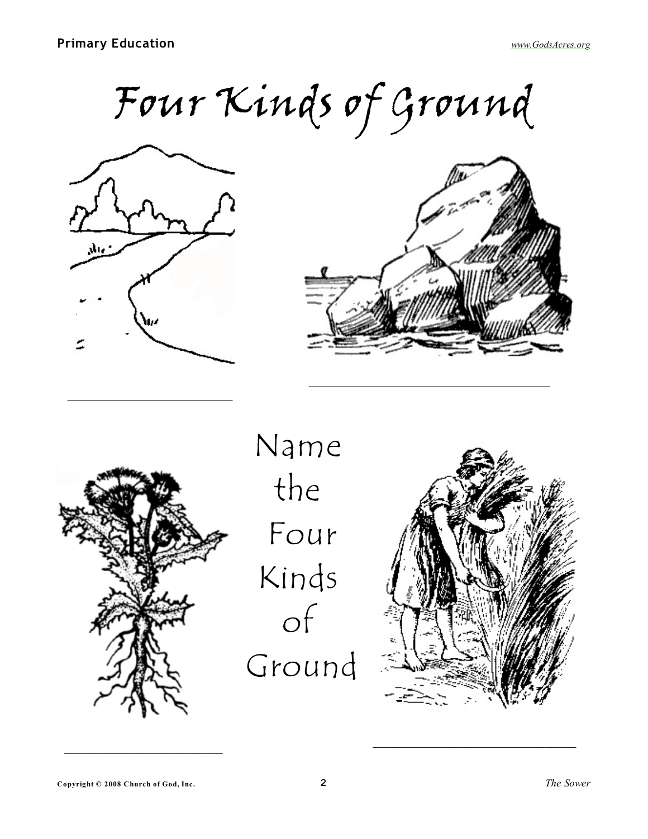Four Kinds of Ground



\_\_\_\_\_\_\_\_\_\_\_\_\_\_\_\_\_\_\_\_\_\_\_\_\_\_





Name the Four Kinds of Ground



 $\mathcal{L}_\text{max}$  , and the set of the set of the set of the set of the set of the set of the set of the set of the set of the set of the set of the set of the set of the set of the set of the set of the set of the set of the

\_\_\_\_\_\_\_\_\_\_\_\_\_\_\_\_\_\_\_\_\_\_\_\_\_